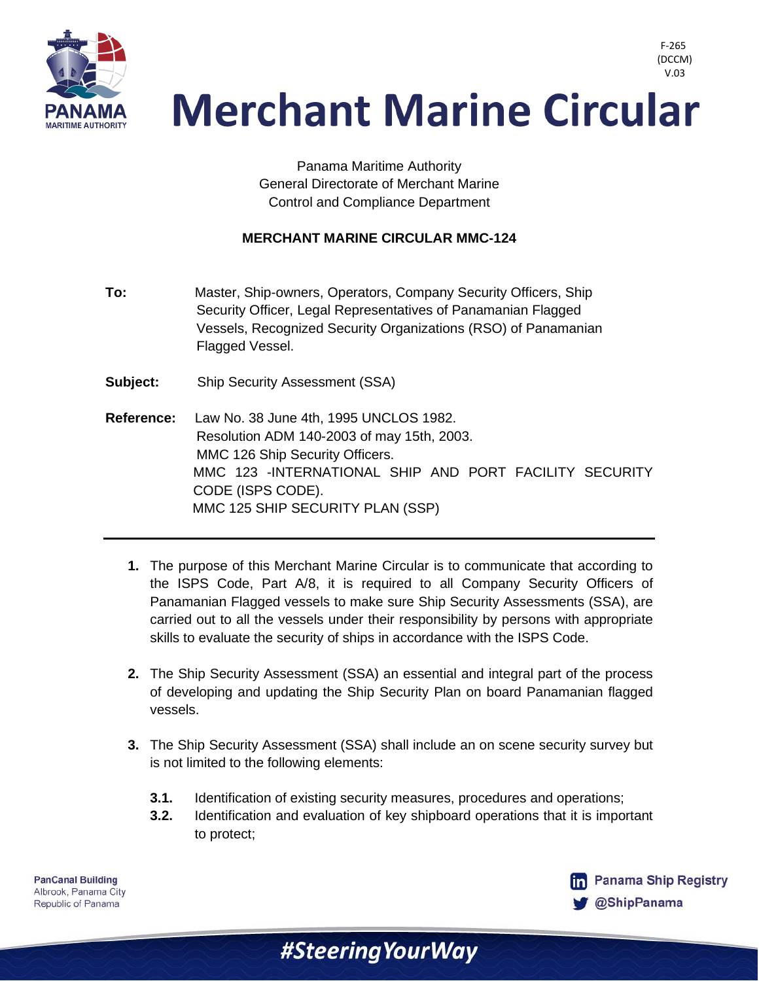

> Panama Maritime Authority General Directorate of Merchant Marine Control and Compliance Department

#### **MERCHANT MARINE CIRCULAR MMC-124**

- **To:** Master, Ship-owners, Operators, Company Security Officers, Ship Security Officer, Legal Representatives of Panamanian Flagged Vessels, Recognized Security Organizations (RSO) of Panamanian Flagged Vessel.
- **Subject:** Ship Security Assessment (SSA)
- **Reference:** Law No. 38 June 4th, 1995 UNCLOS 1982. Resolution ADM 140-2003 of may 15th, 2003. MMC 126 Ship Security Officers. MMC 123 -INTERNATIONAL SHIP AND PORT FACILITY SECURITY CODE (ISPS CODE). MMC 125 SHIP SECURITY PLAN (SSP)
	- **1.** The purpose of this Merchant Marine Circular is to communicate that according to the ISPS Code, Part A/8, it is required to all Company Security Officers of Panamanian Flagged vessels to make sure Ship Security Assessments (SSA), are carried out to all the vessels under their responsibility by persons with appropriate skills to evaluate the security of ships in accordance with the ISPS Code.
	- **2.** The Ship Security Assessment (SSA) an essential and integral part of the process of developing and updating the Ship Security Plan on board Panamanian flagged vessels.
	- **3.** The Ship Security Assessment (SSA) shall include an on scene security survey but is not limited to the following elements:
		- **3.1.** Identification of existing security measures, procedures and operations;

#Steering Your Way

**3.2.** Identification and evaluation of key shipboard operations that it is important to protect;

**PanCanal Building** Albrook, Panama City Republic of Panama



F-265 (DCCM)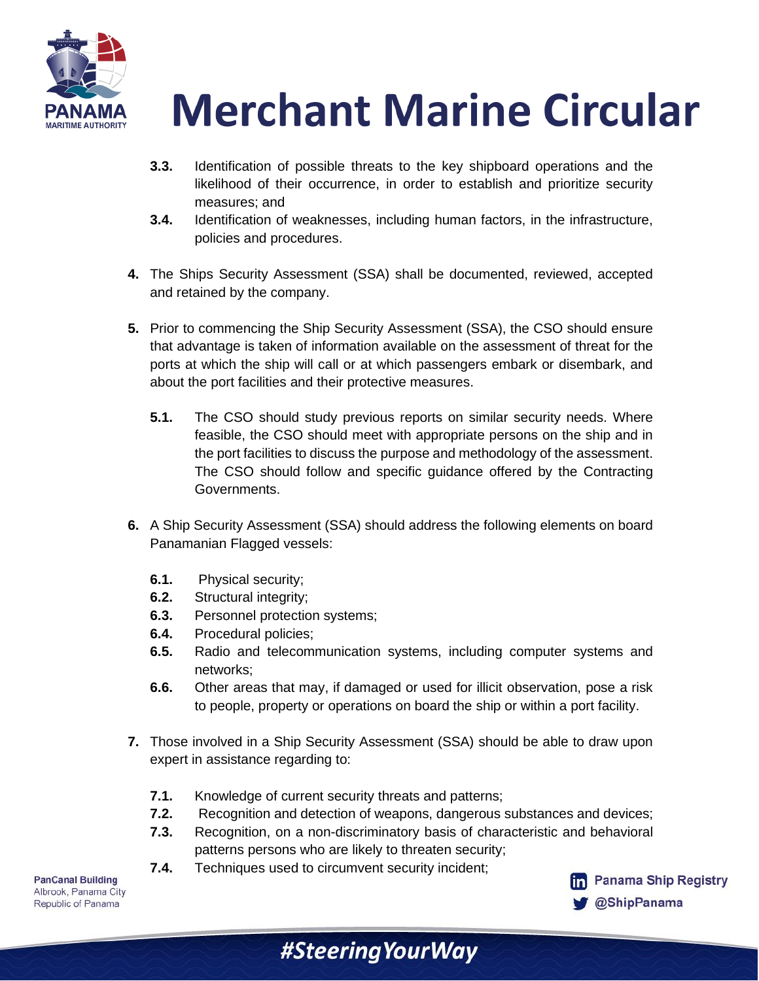

- **3.3.** Identification of possible threats to the key shipboard operations and the likelihood of their occurrence, in order to establish and prioritize security measures; and
- **3.4.** Identification of weaknesses, including human factors, in the infrastructure, policies and procedures.
- **4.** The Ships Security Assessment (SSA) shall be documented, reviewed, accepted and retained by the company.
- **5.** Prior to commencing the Ship Security Assessment (SSA), the CSO should ensure that advantage is taken of information available on the assessment of threat for the ports at which the ship will call or at which passengers embark or disembark, and about the port facilities and their protective measures.
	- **5.1.** The CSO should study previous reports on similar security needs. Where feasible, the CSO should meet with appropriate persons on the ship and in the port facilities to discuss the purpose and methodology of the assessment. The CSO should follow and specific guidance offered by the Contracting Governments.
- **6.** A Ship Security Assessment (SSA) should address the following elements on board Panamanian Flagged vessels:
	- **6.1.** Physical security;
	- **6.2.** Structural integrity;
	- **6.3.** Personnel protection systems;
	- **6.4.** Procedural policies;
	- **6.5.** Radio and telecommunication systems, including computer systems and networks;
	- **6.6.** Other areas that may, if damaged or used for illicit observation, pose a risk to people, property or operations on board the ship or within a port facility.
- **7.** Those involved in a Ship Security Assessment (SSA) should be able to draw upon expert in assistance regarding to:
	- **7.1.** Knowledge of current security threats and patterns;
	- **7.2.** Recognition and detection of weapons, dangerous substances and devices;
	- **7.3.** Recognition, on a non-discriminatory basis of characteristic and behavioral patterns persons who are likely to threaten security;

#SteeringYourWay

**7.4.** Techniques used to circumvent security incident;

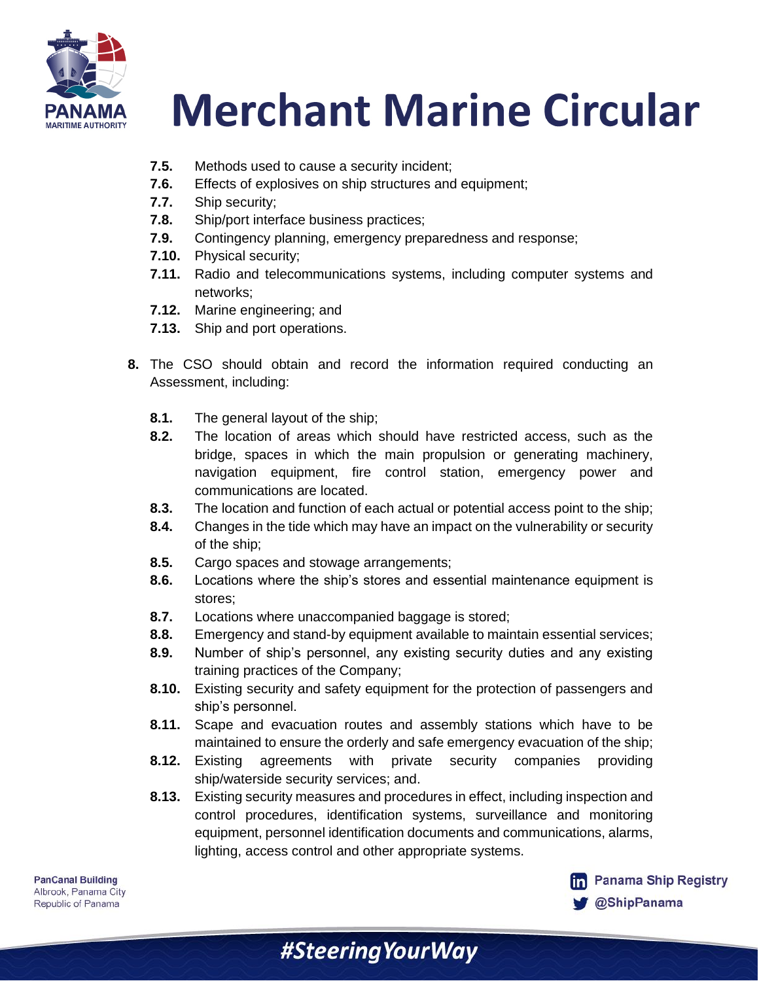

- **7.5.** Methods used to cause a security incident;
- **7.6.** Effects of explosives on ship structures and equipment;
- **7.7.** Ship security;
- **7.8.** Ship/port interface business practices;
- **7.9.** Contingency planning, emergency preparedness and response;
- **7.10.** Physical security;
- **7.11.** Radio and telecommunications systems, including computer systems and networks;
- **7.12.** Marine engineering; and
- **7.13.** Ship and port operations.
- **8.** The CSO should obtain and record the information required conducting an Assessment, including:
	- **8.1.** The general layout of the ship;
	- **8.2.** The location of areas which should have restricted access, such as the bridge, spaces in which the main propulsion or generating machinery, navigation equipment, fire control station, emergency power and communications are located.
	- **8.3.** The location and function of each actual or potential access point to the ship;
	- **8.4.** Changes in the tide which may have an impact on the vulnerability or security of the ship;
	- **8.5.** Cargo spaces and stowage arrangements;
	- **8.6.** Locations where the ship's stores and essential maintenance equipment is stores;
	- **8.7.** Locations where unaccompanied baggage is stored;
	- **8.8.** Emergency and stand-by equipment available to maintain essential services;
	- **8.9.** Number of ship's personnel, any existing security duties and any existing training practices of the Company;
	- **8.10.** Existing security and safety equipment for the protection of passengers and ship's personnel.
	- **8.11.** Scape and evacuation routes and assembly stations which have to be maintained to ensure the orderly and safe emergency evacuation of the ship;
	- **8.12.** Existing agreements with private security companies providing ship/waterside security services; and.
	- **8.13.** Existing security measures and procedures in effect, including inspection and control procedures, identification systems, surveillance and monitoring equipment, personnel identification documents and communications, alarms, lighting, access control and other appropriate systems.

#SteeringYourWay

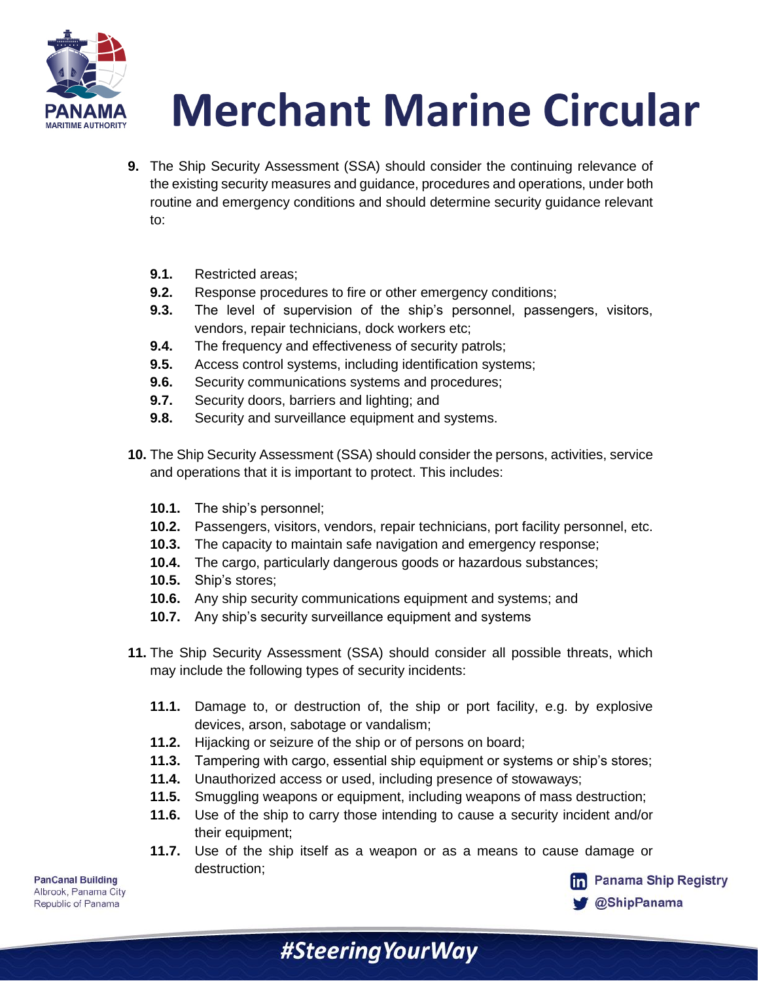

- **9.** The Ship Security Assessment (SSA) should consider the continuing relevance of the existing security measures and guidance, procedures and operations, under both routine and emergency conditions and should determine security guidance relevant to:
	- **9.1.** Restricted areas;
	- **9.2.** Response procedures to fire or other emergency conditions;
	- **9.3.** The level of supervision of the ship's personnel, passengers, visitors, vendors, repair technicians, dock workers etc;
	- **9.4.** The frequency and effectiveness of security patrols;
	- **9.5.** Access control systems, including identification systems;
	- **9.6.** Security communications systems and procedures;
	- **9.7.** Security doors, barriers and lighting; and
	- **9.8.** Security and surveillance equipment and systems.
- **10.** The Ship Security Assessment (SSA) should consider the persons, activities, service and operations that it is important to protect. This includes:
	- **10.1.** The ship's personnel;
	- **10.2.** Passengers, visitors, vendors, repair technicians, port facility personnel, etc.
	- **10.3.** The capacity to maintain safe navigation and emergency response;
	- **10.4.** The cargo, particularly dangerous goods or hazardous substances;
	- **10.5.** Ship's stores;
	- **10.6.** Any ship security communications equipment and systems; and
	- **10.7.** Any ship's security surveillance equipment and systems
- **11.** The Ship Security Assessment (SSA) should consider all possible threats, which may include the following types of security incidents:
	- **11.1.** Damage to, or destruction of, the ship or port facility, e.g. by explosive devices, arson, sabotage or vandalism;
	- **11.2.** Hijacking or seizure of the ship or of persons on board;
	- **11.3.** Tampering with cargo, essential ship equipment or systems or ship's stores;
	- **11.4.** Unauthorized access or used, including presence of stowaways;
	- **11.5.** Smuggling weapons or equipment, including weapons of mass destruction;
	- **11.6.** Use of the ship to carry those intending to cause a security incident and/or their equipment;
	- **11.7.** Use of the ship itself as a weapon or as a means to cause damage or destruction;

#Steering Your Way

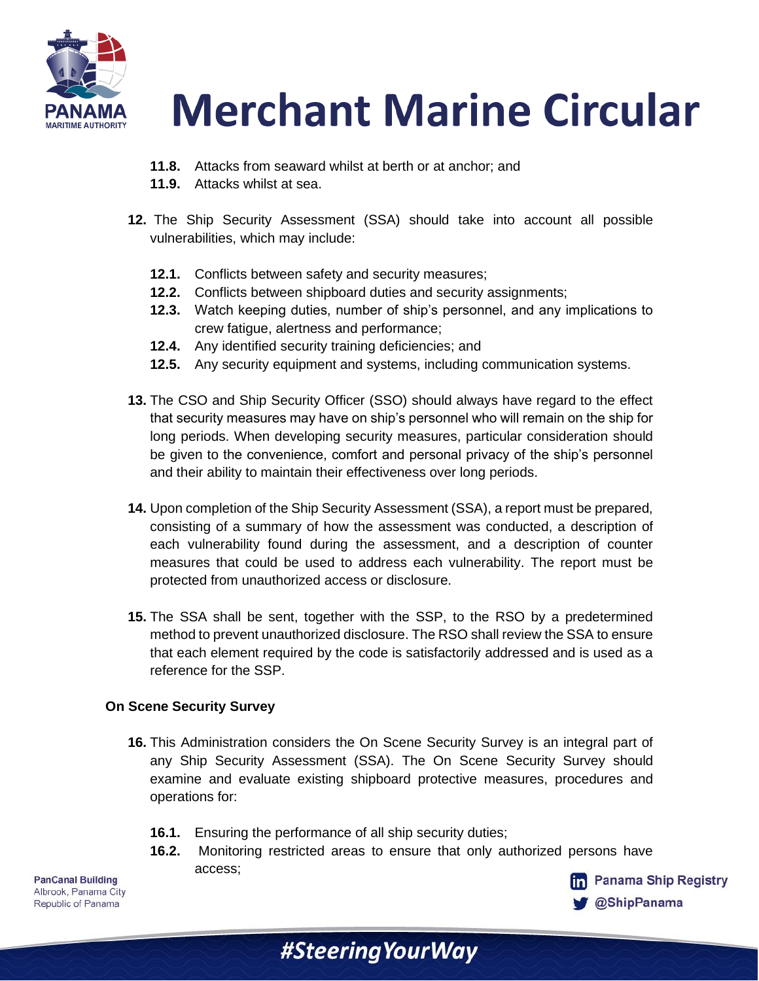

- **11.8.** Attacks from seaward whilst at berth or at anchor; and
- **11.9.** Attacks whilst at sea.
- **12.** The Ship Security Assessment (SSA) should take into account all possible vulnerabilities, which may include:
	- **12.1.** Conflicts between safety and security measures;
	- **12.2.** Conflicts between shipboard duties and security assignments;
	- **12.3.** Watch keeping duties, number of ship's personnel, and any implications to crew fatigue, alertness and performance;
	- **12.4.** Any identified security training deficiencies; and
	- **12.5.** Any security equipment and systems, including communication systems.
- **13.** The CSO and Ship Security Officer (SSO) should always have regard to the effect that security measures may have on ship's personnel who will remain on the ship for long periods. When developing security measures, particular consideration should be given to the convenience, comfort and personal privacy of the ship's personnel and their ability to maintain their effectiveness over long periods.
- **14.** Upon completion of the Ship Security Assessment (SSA), a report must be prepared, consisting of a summary of how the assessment was conducted, a description of each vulnerability found during the assessment, and a description of counter measures that could be used to address each vulnerability. The report must be protected from unauthorized access or disclosure.
- **15.** The SSA shall be sent, together with the SSP, to the RSO by a predetermined method to prevent unauthorized disclosure. The RSO shall review the SSA to ensure that each element required by the code is satisfactorily addressed and is used as a reference for the SSP.

#### **On Scene Security Survey**

- **16.** This Administration considers the On Scene Security Survey is an integral part of any Ship Security Assessment (SSA). The On Scene Security Survey should examine and evaluate existing shipboard protective measures, procedures and operations for:
	- **16.1.** Ensuring the performance of all ship security duties;
	- **16.2.** Monitoring restricted areas to ensure that only authorized persons have access;

#SteeringYourWay